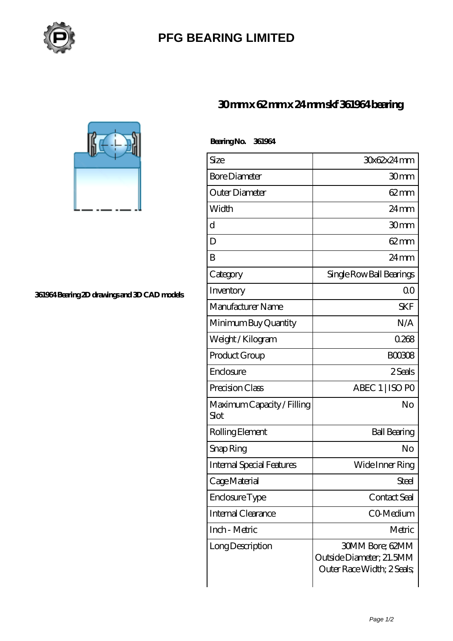

## **[PFG BEARING LIMITED](https://m.meatcuttersclub.org)**

 **Bearing No. 361964**

## **[30 mm x 62 mm x 24 mm skf 361964 bearing](https://m.meatcuttersclub.org/skf-bearing/skf-361964/)**



**[361964 Bearing 2D drawings and 3D CAD models](https://m.meatcuttersclub.org/pic-456832.html)**

| Size                               | 30x62x24mm                                                                |
|------------------------------------|---------------------------------------------------------------------------|
| <b>Bore Diameter</b>               | 30mm                                                                      |
| Outer Diameter                     | 62mm                                                                      |
| Width                              | $24 \,\mathrm{mm}$                                                        |
| d                                  | 30mm                                                                      |
| D                                  | $62 \text{mm}$                                                            |
| B                                  | 24mm                                                                      |
| Category                           | Single Row Ball Bearings                                                  |
| Inventory                          | Q0                                                                        |
| Manufacturer Name                  | <b>SKF</b>                                                                |
| Minimum Buy Quantity               | N/A                                                                       |
| Weight / Kilogram                  | 0268                                                                      |
| Product Group                      | BOO3O8                                                                    |
| Enclosure                          | 2 Seals                                                                   |
| Precision Class                    | ABEC 1   ISO PO                                                           |
| Maximum Capacity / Filling<br>Slot | No                                                                        |
| Rolling Element                    | <b>Ball Bearing</b>                                                       |
| Snap Ring                          | No                                                                        |
| <b>Internal Special Features</b>   | Wide Inner Ring                                                           |
| Cage Material                      | Steel                                                                     |
| Enclosure Type                     | Contact Seal                                                              |
| Internal Clearance                 | CO-Medium                                                                 |
| Inch - Metric                      | Metric                                                                    |
| Long Description                   | 30MM Bore; 62MM<br>Outside Diameter; 21.5MM<br>Outer Race Width; 2 Seals; |